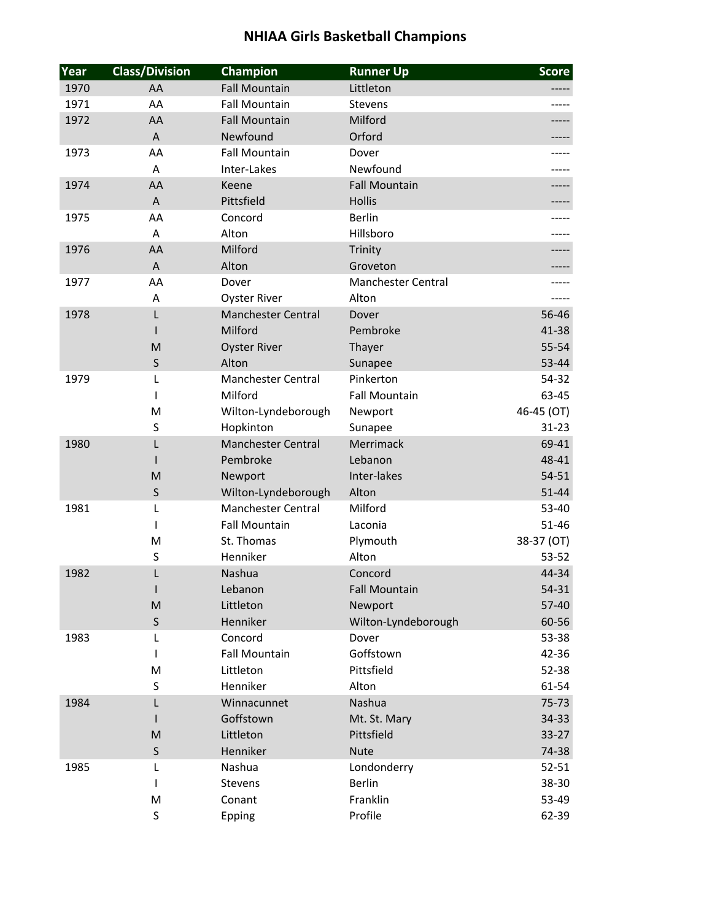| Year | <b>Class/Division</b> | Champion                  | <b>Runner Up</b>          | <b>Score</b> |
|------|-----------------------|---------------------------|---------------------------|--------------|
| 1970 | AA                    | <b>Fall Mountain</b>      | Littleton                 |              |
| 1971 | AA                    | <b>Fall Mountain</b>      | Stevens                   |              |
| 1972 | AA                    | <b>Fall Mountain</b>      | Milford                   |              |
|      | A                     | Newfound                  | Orford                    |              |
| 1973 | AA                    | <b>Fall Mountain</b>      | Dover                     |              |
|      | A                     | Inter-Lakes               | Newfound                  |              |
| 1974 | AA                    | Keene                     | <b>Fall Mountain</b>      |              |
|      | A                     | Pittsfield                | <b>Hollis</b>             |              |
| 1975 | AA                    | Concord                   | <b>Berlin</b>             |              |
|      | A                     | Alton                     | Hillsboro                 |              |
| 1976 | AA                    | Milford                   | Trinity                   |              |
|      | A                     | Alton                     | Groveton                  |              |
| 1977 | AA                    | Dover                     | <b>Manchester Central</b> |              |
|      | Α                     | <b>Oyster River</b>       | Alton                     |              |
| 1978 | L                     | <b>Manchester Central</b> | Dover                     | $56 - 46$    |
|      | $\mathsf{I}$          | Milford                   | Pembroke                  | 41-38        |
|      | M                     | <b>Oyster River</b>       | Thayer                    | $55 - 54$    |
|      | $\mathsf S$           | Alton                     | Sunapee                   | 53-44        |
| 1979 | L                     | <b>Manchester Central</b> | Pinkerton                 | 54-32        |
|      | T                     | Milford                   | <b>Fall Mountain</b>      | 63-45        |
|      | M                     | Wilton-Lyndeborough       | Newport                   | 46-45 (OT)   |
|      | $\sf S$               | Hopkinton                 | Sunapee                   | $31 - 23$    |
| 1980 | L                     | <b>Manchester Central</b> | Merrimack                 | 69-41        |
|      | $\mathsf{I}$          | Pembroke                  | Lebanon                   | 48-41        |
|      | M                     | Newport                   | Inter-lakes               | $54 - 51$    |
|      | $\mathsf S$           | Wilton-Lyndeborough       | Alton                     | $51 - 44$    |
| 1981 | L                     | <b>Manchester Central</b> | Milford                   | 53-40        |
|      | $\mathsf{I}$          | <b>Fall Mountain</b>      | Laconia                   | $51 - 46$    |
|      | M                     | St. Thomas                | Plymouth                  | 38-37 (OT)   |
|      | $\sf S$               | Henniker                  | Alton                     | $53 - 52$    |
| 1982 | L                     | Nashua                    | Concord                   | 44-34        |
|      |                       | Lebanon                   | <b>Fall Mountain</b>      | $54 - 31$    |
|      | M                     | Littleton                 | Newport                   | $57 - 40$    |
|      | $\mathsf S$           | Henniker                  | Wilton-Lyndeborough       | 60-56        |
| 1983 | L                     | Concord                   | Dover                     | 53-38        |
|      | $\mathsf{I}$          | <b>Fall Mountain</b>      | Goffstown                 | 42-36        |
|      | M                     | Littleton                 | Pittsfield                | 52-38        |
|      | S                     | Henniker                  | Alton                     | 61-54        |
| 1984 | L                     | Winnacunnet               | Nashua                    | $75 - 73$    |
|      | L                     | Goffstown                 | Mt. St. Mary              | 34-33        |
|      | M                     | Littleton                 | Pittsfield                | $33-27$      |
|      | S                     | Henniker                  | <b>Nute</b>               | 74-38        |
| 1985 | L                     | Nashua                    | Londonderry               | $52 - 51$    |
|      | L                     | Stevens                   | Berlin                    | 38-30        |
|      | M                     | Conant                    | Franklin                  | 53-49        |
|      | S                     | Epping                    | Profile                   | 62-39        |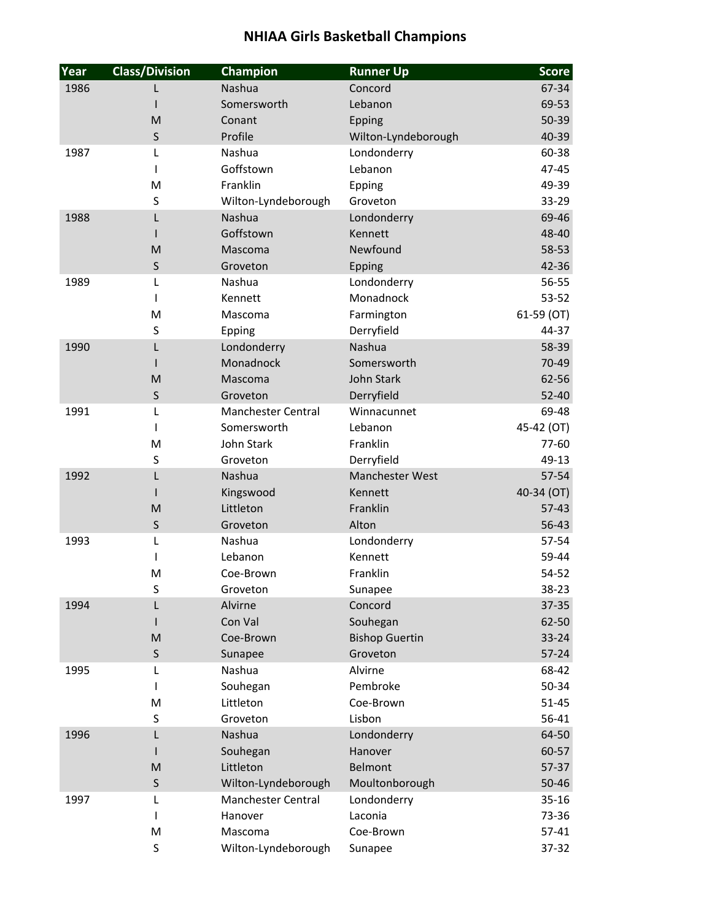| Year | <b>Class/Division</b> | Champion                  | <b>Runner Up</b>      | <b>Score</b>       |
|------|-----------------------|---------------------------|-----------------------|--------------------|
| 1986 |                       | Nashua                    | Concord               | 67-34              |
|      |                       | Somersworth               | Lebanon               | 69-53              |
|      | M                     | Conant                    | Epping                | 50-39              |
|      | $\mathsf S$           | Profile                   | Wilton-Lyndeborough   | 40-39              |
| 1987 | L                     | Nashua                    | Londonderry           | 60-38              |
|      | L                     | Goffstown                 | Lebanon               | 47-45              |
|      | M                     | Franklin                  | Epping                | 49-39              |
|      | S                     | Wilton-Lyndeborough       | Groveton              | 33-29              |
| 1988 | L                     | Nashua                    | Londonderry           | 69-46              |
|      |                       | Goffstown                 | Kennett               | 48-40              |
|      | M                     | Mascoma                   | Newfound              | 58-53              |
|      | S                     | Groveton                  | Epping                | 42-36              |
| 1989 | L                     | Nashua                    | Londonderry           | 56-55              |
|      | T                     | Kennett                   | Monadnock             | $53 - 52$          |
|      | M                     | Mascoma                   | Farmington            | 61-59 (OT)         |
|      | $\sf S$               | Epping                    | Derryfield            | 44-37              |
| 1990 | L                     | Londonderry               | Nashua                | 58-39              |
|      |                       | Monadnock                 | Somersworth           | 70-49              |
|      | M                     | Mascoma                   | <b>John Stark</b>     | 62-56              |
|      | $\mathsf S$           | Groveton                  | Derryfield            | 52-40              |
| 1991 | L                     | <b>Manchester Central</b> | Winnacunnet           | 69-48              |
|      | L                     | Somersworth               | Lebanon               | 45-42 (OT)         |
|      | M                     | <b>John Stark</b>         | Franklin              | 77-60              |
|      | S                     | Groveton                  | Derryfield            | 49-13              |
| 1992 | L                     | Nashua                    | Manchester West       | $57 - 54$          |
|      |                       | Kingswood                 | Kennett               | 40-34 (OT)         |
|      | M                     | Littleton                 | Franklin              | $57-43$            |
|      | $\mathsf S$           | Groveton                  | Alton                 | 56-43              |
| 1993 | L                     | Nashua                    | Londonderry           | 57-54              |
|      | T                     | Lebanon                   | Kennett               | 59-44              |
|      | M                     | Coe-Brown                 | Franklin              | 54-52              |
|      | S                     | Groveton                  | Sunapee               | 38-23              |
| 1994 |                       | Alvirne                   | Concord               | $37 - 35$          |
|      |                       | Con Val                   | Souhegan              | 62-50              |
|      | M                     | Coe-Brown                 | <b>Bishop Guertin</b> | $33 - 24$          |
|      | S                     | Sunapee<br>Nashua         | Groveton<br>Alvirne   | $57 - 24$<br>68-42 |
| 1995 | L<br>L                |                           | Pembroke              | 50-34              |
|      | M                     | Souhegan<br>Littleton     | Coe-Brown             | $51 - 45$          |
|      | S                     | Groveton                  | Lisbon                | 56-41              |
| 1996 | L                     | Nashua                    | Londonderry           | 64-50              |
|      |                       | Souhegan                  | Hanover               | 60-57              |
|      | M                     | Littleton                 | Belmont               | 57-37              |
|      | S                     | Wilton-Lyndeborough       | Moultonborough        | $50 - 46$          |
| 1997 | L                     | <b>Manchester Central</b> | Londonderry           | $35 - 16$          |
|      | T                     | Hanover                   | Laconia               | 73-36              |
|      | M                     | Mascoma                   | Coe-Brown             | $57 - 41$          |
|      | S                     | Wilton-Lyndeborough       | Sunapee               | 37-32              |
|      |                       |                           |                       |                    |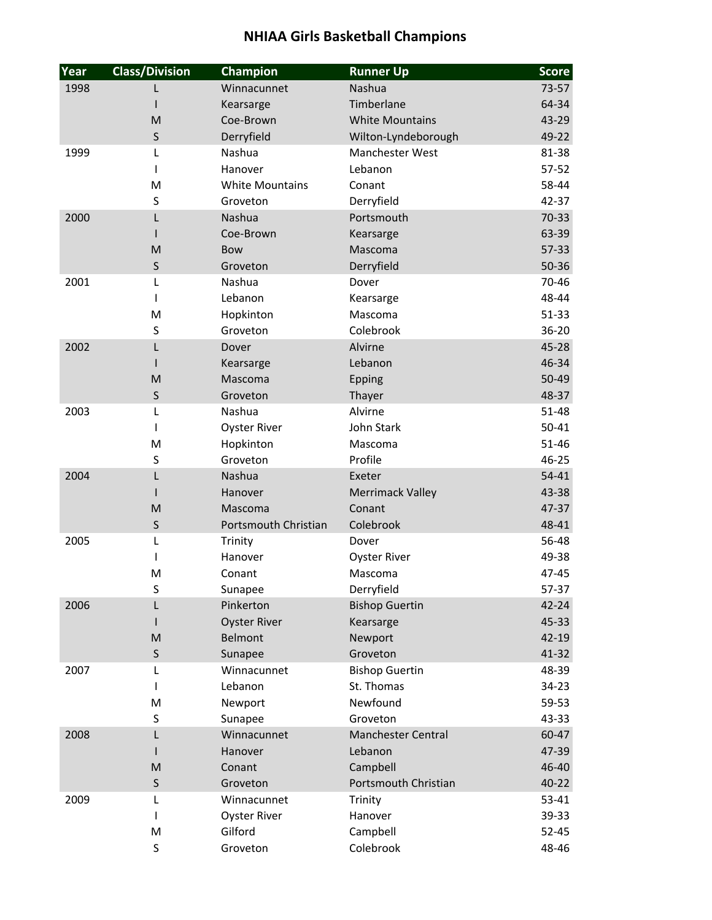| Year | <b>Class/Division</b> | Champion               | <b>Runner Up</b>          | <b>Score</b> |
|------|-----------------------|------------------------|---------------------------|--------------|
| 1998 |                       | Winnacunnet            | Nashua                    | $73 - 57$    |
|      |                       | Kearsarge              | Timberlane                | 64-34        |
|      | M                     | Coe-Brown              | <b>White Mountains</b>    | 43-29        |
|      | S                     | Derryfield             | Wilton-Lyndeborough       | 49-22        |
| 1999 | L                     | Nashua                 | Manchester West           | 81-38        |
|      | T                     | Hanover                | Lebanon                   | $57 - 52$    |
|      | M                     | <b>White Mountains</b> | Conant                    | 58-44        |
|      | $\sf S$               | Groveton               | Derryfield                | 42-37        |
| 2000 | L                     | Nashua                 | Portsmouth                | $70-33$      |
|      |                       | Coe-Brown              | Kearsarge                 | 63-39        |
|      | M                     | <b>Bow</b>             | Mascoma                   | $57 - 33$    |
|      | S                     | Groveton               | Derryfield                | $50 - 36$    |
| 2001 | L                     | Nashua                 | Dover                     | 70-46        |
|      | T                     | Lebanon                | Kearsarge                 | 48-44        |
|      | M                     | Hopkinton              | Mascoma                   | $51 - 33$    |
|      | S                     | Groveton               | Colebrook                 | 36-20        |
| 2002 | L                     | Dover                  | Alvirne                   | $45 - 28$    |
|      |                       | Kearsarge              | Lebanon                   | 46-34        |
|      | M                     | Mascoma                | Epping                    | 50-49        |
|      | $\mathsf S$           | Groveton               | Thayer                    | 48-37        |
| 2003 | L                     | Nashua                 | Alvirne                   | 51-48        |
|      | $\mathsf{I}$          | <b>Oyster River</b>    | John Stark                | $50 - 41$    |
|      | M                     | Hopkinton              | Mascoma                   | 51-46        |
|      | $\sf S$               | Groveton               | Profile                   | 46-25        |
| 2004 | L                     | Nashua                 | Exeter                    | $54 - 41$    |
|      |                       | Hanover                | <b>Merrimack Valley</b>   | 43-38        |
|      | M                     | Mascoma                | Conant                    | 47-37        |
|      | S                     | Portsmouth Christian   | Colebrook                 | 48-41        |
| 2005 | L                     | Trinity                | Dover                     | 56-48        |
|      |                       | Hanover                | <b>Oyster River</b>       | 49-38        |
|      | M                     | Conant                 | Mascoma                   | 47-45        |
|      | S                     | Sunapee                | Derryfield                | 57-37        |
| 2006 |                       | Pinkerton              | <b>Bishop Guertin</b>     | $42 - 24$    |
|      |                       | <b>Oyster River</b>    | Kearsarge                 | 45-33        |
|      | M                     | Belmont                | Newport                   | $42 - 19$    |
|      | S                     | Sunapee                | Groveton                  | $41 - 32$    |
| 2007 | L                     | Winnacunnet            | <b>Bishop Guertin</b>     | 48-39        |
|      | $\mathsf{I}$          | Lebanon                | St. Thomas                | $34 - 23$    |
|      | M                     | Newport                | Newfound                  | 59-53        |
|      | S                     | Sunapee                | Groveton                  | 43-33        |
| 2008 | L                     | Winnacunnet            | <b>Manchester Central</b> | 60-47        |
|      |                       | Hanover                | Lebanon                   | 47-39        |
|      | M                     | Conant                 | Campbell                  | 46-40        |
|      | $\sf S$               | Groveton               | Portsmouth Christian      | $40 - 22$    |
| 2009 | L                     | Winnacunnet            | Trinity                   | $53 - 41$    |
|      | L                     | <b>Oyster River</b>    | Hanover                   | 39-33        |
|      | M                     | Gilford                | Campbell                  | $52 - 45$    |
|      | S                     | Groveton               | Colebrook                 | 48-46        |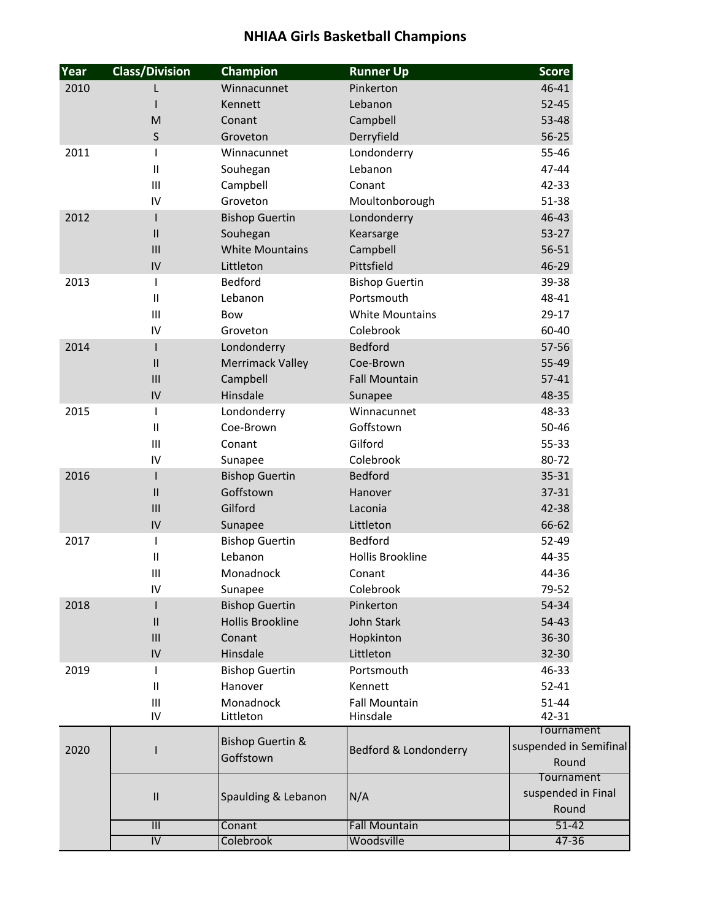| Year | <b>Class/Division</b>    | Champion                    | <b>Runner Up</b>        | <b>Score</b>           |
|------|--------------------------|-----------------------------|-------------------------|------------------------|
| 2010 | L                        | Winnacunnet                 | Pinkerton               | 46-41                  |
|      | $\overline{\phantom{a}}$ | Kennett                     | Lebanon                 | $52 - 45$              |
|      | M                        | Conant                      | Campbell                | 53-48                  |
|      | $\mathsf S$              | Groveton                    | Derryfield              | $56 - 25$              |
| 2011 |                          | Winnacunnet                 | Londonderry             | 55-46                  |
|      | Ш                        | Souhegan                    | Lebanon                 | 47-44                  |
|      | Ш                        | Campbell                    | Conant                  | 42-33                  |
|      | IV                       | Groveton                    | Moultonborough          | $51 - 38$              |
| 2012 | $\mathsf{I}$             | <b>Bishop Guertin</b>       | Londonderry             | 46-43                  |
|      | $\mathsf{II}$            | Souhegan                    | Kearsarge               | $53 - 27$              |
|      | III                      | <b>White Mountains</b>      | Campbell                | $56 - 51$              |
|      | IV                       | Littleton                   | Pittsfield              | 46-29                  |
| 2013 | 1                        | <b>Bedford</b>              | <b>Bishop Guertin</b>   | 39-38                  |
|      | $\mathbf{II}$            | Lebanon                     | Portsmouth              | 48-41                  |
|      | Ш                        | Bow                         | <b>White Mountains</b>  | 29-17                  |
|      | IV                       | Groveton                    | Colebrook               | 60-40                  |
| 2014 | $\mathsf{I}$             | Londonderry                 | <b>Bedford</b>          | $57 - 56$              |
|      | $\mathsf{II}$            | <b>Merrimack Valley</b>     | Coe-Brown               | 55-49                  |
|      | III                      | Campbell                    | <b>Fall Mountain</b>    | $57 - 41$              |
|      | IV                       | Hinsdale                    | Sunapee                 | 48-35                  |
| 2015 | $\mathsf{l}$             | Londonderry                 | Winnacunnet             | 48-33                  |
|      | Ш                        | Coe-Brown                   | Goffstown               | 50-46                  |
|      | Ш                        | Conant                      | Gilford                 | 55-33                  |
|      | IV                       | Sunapee                     | Colebrook               | 80-72                  |
| 2016 | $\mathsf{I}$             | <b>Bishop Guertin</b>       | <b>Bedford</b>          | $35 - 31$              |
|      | $\mathsf{II}$            | Goffstown                   | Hanover                 | $37 - 31$              |
|      | III                      | Gilford                     | Laconia                 | 42-38                  |
|      | IV                       | Sunapee                     | Littleton               | 66-62                  |
| 2017 | $\overline{1}$           | <b>Bishop Guertin</b>       | <b>Bedford</b>          | 52-49                  |
|      | $\sf II$                 | Lebanon                     | <b>Hollis Brookline</b> | 44-35                  |
|      | $\mathbf{III}$           | Monadnock                   | Conant                  | 44-36                  |
|      | IV                       | Sunapee                     | Colebrook               | 79-52                  |
| 2018 |                          | <b>Bishop Guertin</b>       | Pinkerton               | 54-34                  |
|      | $\mathsf{II}$            | <b>Hollis Brookline</b>     | John Stark              | $54 - 43$              |
|      | III                      | Conant                      | Hopkinton               | 36-30                  |
|      | IV                       | Hinsdale                    | Littleton               | 32-30                  |
| 2019 |                          | <b>Bishop Guertin</b>       | Portsmouth              | 46-33                  |
|      | $\mathbf{H}$             | Hanover                     | Kennett                 | $52 - 41$              |
|      | Ш                        | Monadnock                   | <b>Fall Mountain</b>    | $51 - 44$              |
|      | IV                       | Littleton                   | Hinsdale                | 42-31                  |
|      |                          |                             |                         | Tournament             |
| 2020 | ı                        | <b>Bishop Guertin &amp;</b> | Bedford & Londonderry   | suspended in Semifinal |
|      |                          | Goffstown                   |                         | Round                  |
|      |                          |                             |                         | Tournament             |
|      | $\sf II$                 | Spaulding & Lebanon         | N/A                     | suspended in Final     |
|      |                          |                             |                         | Round                  |
|      | III                      | Conant                      | <b>Fall Mountain</b>    | $51 - 42$              |
|      | $\overline{N}$           | <b>Colebrook</b>            | Woodsville              | $47 - 36$              |